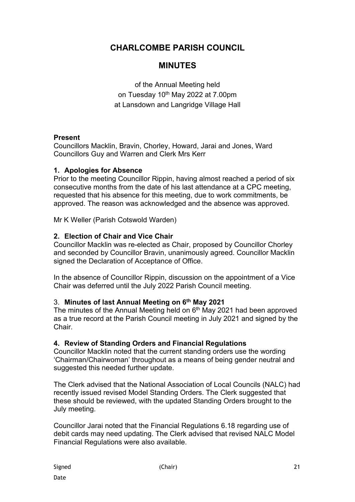# **CHARLCOMBE PARISH COUNCIL**

# **MINUTES**

of the Annual Meeting held on Tuesday 10<sup>th</sup> May 2022 at 7.00pm at Lansdown and Langridge Village Hall

## **Present**

Councillors Macklin, Bravin, Chorley, Howard, Jarai and Jones, Ward Councillors Guy and Warren and Clerk Mrs Kerr

# **1. Apologies for Absence**

Prior to the meeting Councillor Rippin, having almost reached a period of six consecutive months from the date of his last attendance at a CPC meeting, requested that his absence for this meeting, due to work commitments, be approved. The reason was acknowledged and the absence was approved.

Mr K Weller (Parish Cotswold Warden)

## **2. Election of Chair and Vice Chair**

Councillor Macklin was re-elected as Chair, proposed by Councillor Chorley and seconded by Councillor Bravin, unanimously agreed. Councillor Macklin signed the Declaration of Acceptance of Office.

In the absence of Councillor Rippin, discussion on the appointment of a Vice Chair was deferred until the July 2022 Parish Council meeting.

### 3. **Minutes of last Annual Meeting on 6th May 2021**

The minutes of the Annual Meeting held on  $6<sup>th</sup>$  May 2021 had been approved as a true record at the Parish Council meeting in July 2021 and signed by the Chair.

# **4. Review of Standing Orders and Financial Regulations**

Councillor Macklin noted that the current standing orders use the wording 'Chairman/Chairwoman' throughout as a means of being gender neutral and suggested this needed further update.

The Clerk advised that the National Association of Local Councils (NALC) had recently issued revised Model Standing Orders. The Clerk suggested that these should be reviewed, with the updated Standing Orders brought to the July meeting.

Councillor Jarai noted that the Financial Regulations 6.18 regarding use of debit cards may need updating. The Clerk advised that revised NALC Model Financial Regulations were also available.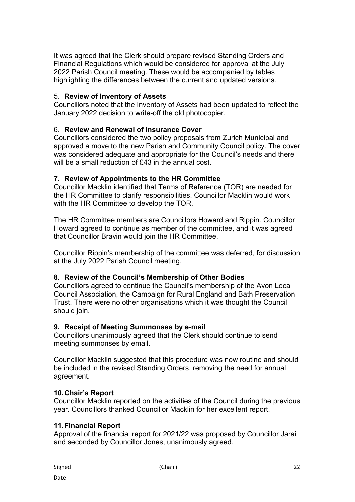It was agreed that the Clerk should prepare revised Standing Orders and Financial Regulations which would be considered for approval at the July 2022 Parish Council meeting. These would be accompanied by tables highlighting the differences between the current and updated versions.

## 5. **Review of Inventory of Assets**

Councillors noted that the Inventory of Assets had been updated to reflect the January 2022 decision to write-off the old photocopier.

## 6. **Review and Renewal of Insurance Cover**

Councillors considered the two policy proposals from Zurich Municipal and approved a move to the new Parish and Community Council policy. The cover was considered adequate and appropriate for the Council's needs and there will be a small reduction of £43 in the annual cost.

## **7. Review of Appointments to the HR Committee**

Councillor Macklin identified that Terms of Reference (TOR) are needed for the HR Committee to clarify responsibilities. Councillor Macklin would work with the HR Committee to develop the TOR.

The HR Committee members are Councillors Howard and Rippin. Councillor Howard agreed to continue as member of the committee, and it was agreed that Councillor Bravin would join the HR Committee.

Councillor Rippin's membership of the committee was deferred, for discussion at the July 2022 Parish Council meeting.

### **8. Review of the Council's Membership of Other Bodies**

Councillors agreed to continue the Council's membership of the Avon Local Council Association, the Campaign for Rural England and Bath Preservation Trust. There were no other organisations which it was thought the Council should join.

### **9. Receipt of Meeting Summonses by e-mail**

Councillors unanimously agreed that the Clerk should continue to send meeting summonses by email.

Councillor Macklin suggested that this procedure was now routine and should be included in the revised Standing Orders, removing the need for annual agreement.

### **10. Chair's Report**

Councillor Macklin reported on the activities of the Council during the previous year. Councillors thanked Councillor Macklin for her excellent report.

### **11. Financial Report**

Approval of the financial report for 2021/22 was proposed by Councillor Jarai and seconded by Councillor Jones, unanimously agreed.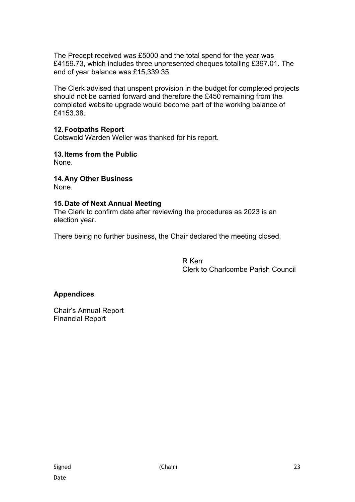The Precept received was £5000 and the total spend for the year was £4159.73, which includes three unpresented cheques totalling £397.01. The end of year balance was £15,339.35.

The Clerk advised that unspent provision in the budget for completed projects should not be carried forward and therefore the £450 remaining from the completed website upgrade would become part of the working balance of £4153.38.

# **12. Footpaths Report**

Cotswold Warden Weller was thanked for his report.

**13. Items from the Public**  None.

**14. Any Other Business**  None.

## **15. Date of Next Annual Meeting**

The Clerk to confirm date after reviewing the procedures as 2023 is an election year.

There being no further business, the Chair declared the meeting closed.

R Kerr Clerk to Charlcombe Parish Council

### **Appendices**

Chair's Annual Report Financial Report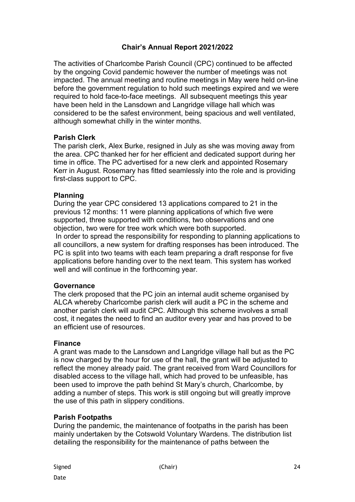# **Chair's Annual Report 2021/2022**

The activities of Charlcombe Parish Council (CPC) continued to be affected by the ongoing Covid pandemic however the number of meetings was not impacted. The annual meeting and routine meetings in May were held on-line before the government regulation to hold such meetings expired and we were required to hold face-to-face meetings. All subsequent meetings this year have been held in the Lansdown and Langridge village hall which was considered to be the safest environment, being spacious and well ventilated, although somewhat chilly in the winter months.

## **Parish Clerk**

The parish clerk, Alex Burke, resigned in July as she was moving away from the area. CPC thanked her for her efficient and dedicated support during her time in office. The PC advertised for a new clerk and appointed Rosemary Kerr in August. Rosemary has fitted seamlessly into the role and is providing first-class support to CPC.

### **Planning**

During the year CPC considered 13 applications compared to 21 in the previous 12 months: 11 were planning applications of which five were supported, three supported with conditions, two observations and one objection, two were for tree work which were both supported. In order to spread the responsibility for responding to planning applications to all councillors, a new system for drafting responses has been introduced. The PC is split into two teams with each team preparing a draft response for five applications before handing over to the next team. This system has worked well and will continue in the forthcoming year.

### **Governance**

The clerk proposed that the PC join an internal audit scheme organised by ALCA whereby Charlcombe parish clerk will audit a PC in the scheme and another parish clerk will audit CPC. Although this scheme involves a small cost, it negates the need to find an auditor every year and has proved to be an efficient use of resources.

# **Finance**

A grant was made to the Lansdown and Langridge village hall but as the PC is now charged by the hour for use of the hall, the grant will be adjusted to reflect the money already paid. The grant received from Ward Councillors for disabled access to the village hall, which had proved to be unfeasible, has been used to improve the path behind St Mary's church, Charlcombe, by adding a number of steps. This work is still ongoing but will greatly improve the use of this path in slippery conditions.

# **Parish Footpaths**

During the pandemic, the maintenance of footpaths in the parish has been mainly undertaken by the Cotswold Voluntary Wardens. The distribution list detailing the responsibility for the maintenance of paths between the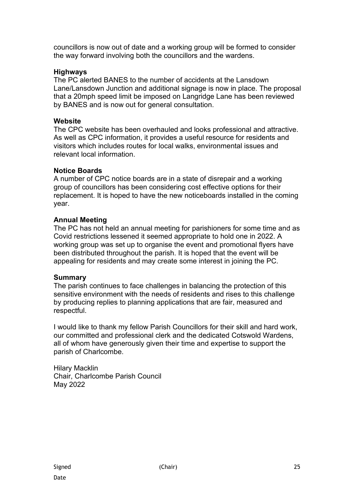councillors is now out of date and a working group will be formed to consider the way forward involving both the councillors and the wardens.

# **Highways**

The PC alerted BANES to the number of accidents at the Lansdown Lane/Lansdown Junction and additional signage is now in place. The proposal that a 20mph speed limit be imposed on Langridge Lane has been reviewed by BANES and is now out for general consultation.

# **Website**

The CPC website has been overhauled and looks professional and attractive. As well as CPC information, it provides a useful resource for residents and visitors which includes routes for local walks, environmental issues and relevant local information.

# **Notice Boards**

A number of CPC notice boards are in a state of disrepair and a working group of councillors has been considering cost effective options for their replacement. It is hoped to have the new noticeboards installed in the coming year.

# **Annual Meeting**

The PC has not held an annual meeting for parishioners for some time and as Covid restrictions lessened it seemed appropriate to hold one in 2022. A working group was set up to organise the event and promotional flyers have been distributed throughout the parish. It is hoped that the event will be appealing for residents and may create some interest in joining the PC.

# **Summary**

The parish continues to face challenges in balancing the protection of this sensitive environment with the needs of residents and rises to this challenge by producing replies to planning applications that are fair, measured and respectful.

I would like to thank my fellow Parish Councillors for their skill and hard work, our committed and professional clerk and the dedicated Cotswold Wardens, all of whom have generously given their time and expertise to support the parish of Charlcombe.

Hilary Macklin Chair, Charlcombe Parish Council May 2022